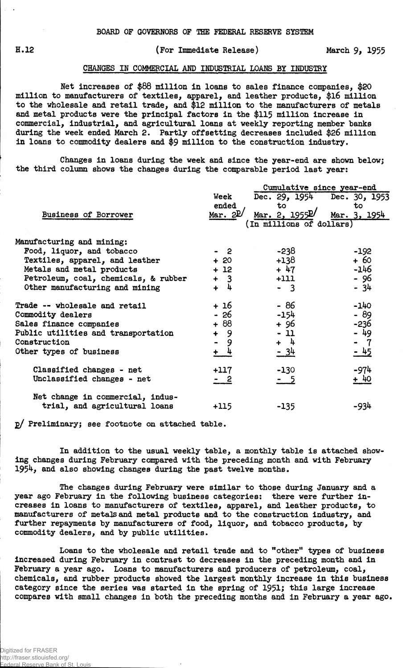## H.12 (For Immediate Release) March 9, 1955

## CHANGES IN COMMERCIAL AND INDUSTRIAL LOANS BY INDUSTRY

Net Increases of \$88 million in loans to sales finance companies, \$20 million to manufacturers of textiles, apparel, and leather products, \$16 million to the wholesale and retail trade, and \$12 million to the manufacturers of metals and metal products were the principal factors in the \$115 million increase in commercial, industrial, and agricultural loans at weekly reporting member banks during the week ended March 2. Partly offsetting decreases included \$26 million in loans to commodity dealers and \$9 million to the construction industry.

Changes in loans during the week and since the year-end are shown below; the third column shows the changes during the comparable period last year:

|                                      |                             | Cumulative since year-end   |              |  |  |  |  |
|--------------------------------------|-----------------------------|-----------------------------|--------------|--|--|--|--|
|                                      | Week                        | Dec. 29, 1954 Dec. 30, 1953 |              |  |  |  |  |
|                                      | ended                       | to                          | to           |  |  |  |  |
| Business of Borrower                 | Mar. $2P/$                  | Mar. 2, $1955P/$            | Mar. 3, 1954 |  |  |  |  |
|                                      |                             | (In millions of dollars)    |              |  |  |  |  |
| Manufacturing and mining:            |                             |                             |              |  |  |  |  |
| Food, liquor, and tobacco            | - 2                         | -238                        | $-192$       |  |  |  |  |
| Textiles, apparel, and leather       | $+20$                       | $+138$                      | $+60$        |  |  |  |  |
| Metals and metal products            | $+12$                       | $+47$                       | -146         |  |  |  |  |
| Petroleum, coal, chemicals, & rubber | $+3$                        | $+111$                      | - 96         |  |  |  |  |
| Other manufacturing and mining       | $\frac{1}{2}$<br>$\ddot{+}$ | $-3$                        | - 34         |  |  |  |  |
| Trade -- wholesale and retail        | + 16                        | $-86$                       | $-140$       |  |  |  |  |
| Commodity dealers                    | - 26                        | $-154$                      | $-89$        |  |  |  |  |
| Sales finance companies              | $+88$                       | + 96                        | -236         |  |  |  |  |
| Public utilities and transportation  | $+ 9$                       | $-11$                       | - 49         |  |  |  |  |
| Construction                         | $\blacksquare$<br>9         | $+ 4$                       | $-7$         |  |  |  |  |
| Other types of business              | $+$ 4                       | <u>- 34</u>                 | $-45$        |  |  |  |  |
| Classified changes - net             | $+117$                      | $-130$                      | $-974$       |  |  |  |  |
| Unclassified changes - net           | - 2                         | - 5                         | + 40         |  |  |  |  |
| Net change in commercial, indus-     |                             |                             |              |  |  |  |  |
| trial, and agricultural loans        | $+115$                      | $-135$                      | -934         |  |  |  |  |

g/ Preliminaryj see footnote on attached table.

In addition to the usual weekly table, a monthly table is attached showing changes during February compared with the preceding month and with February 1954, and also showing changes during the past twelve months.

The changes during February were similar to those during January and a year ago February in the following business categories: there were further increases in loans to manufacturers of textiles, apparel, and leather products, to manufacturers of metals and metal products and to the construction industry, and further repayments by manufacturers of food, liquor, and tobacco products, by commodity dealers, and by public utilities.

Loans to the wholesale and retail trade and to "other" types of business increased during February in contrast to decreases in the preceding month and in February a year ago. Loans to manufacturers and producers of petroleum, coal, chemicals, and rubber products showed the largest monthly increase in this business category since the series was started in the spring of 1951; this large increase compares with small changes in both the preceding months and in February a year ago.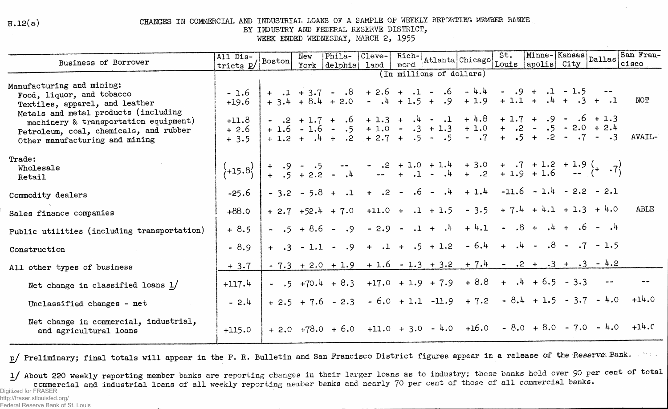$H.12(a)$ 

## CHANGES IN COMMERCIAL AND INDUSTRIAL LOANS OF A SAMPLE OF WEEKLY REPORTING MEMBER BANKS

BY INDUSTRY AND FEDERAL RESERVE DISTRICT,

WEEK ENDED WEDNESDAY, MARCH 2, 1955

| Business of Borrower                                                                                                                                      | All Dis-<br>tricts p/ Boston                                             |  | New | Phila-               | Cleve- | $Rich-$<br>mond |                    | Atlanta Chicago                                                                                                                                                                                 | St. | Minne-Kansas Dallas            |  | San Fran-<br>cisco                                                            |
|-----------------------------------------------------------------------------------------------------------------------------------------------------------|--------------------------------------------------------------------------|--|-----|----------------------|--------|-----------------|--------------------|-------------------------------------------------------------------------------------------------------------------------------------------------------------------------------------------------|-----|--------------------------------|--|-------------------------------------------------------------------------------|
|                                                                                                                                                           | Louis apolis City<br>York delphial<br>land  <br>(In millions of dollars) |  |     |                      |        |                 |                    |                                                                                                                                                                                                 |     |                                |  |                                                                               |
| Manufacturing and mining:<br>Food, liquor, and tobacco<br>Textiles, apparel, and leather                                                                  | $-1.6$<br>$+19.6$                                                        |  |     |                      |        |                 |                    | $+$ .1 + 3.7 - .8 + 2.6 + .1 - .6 - 4.4 - .9 + .1 - 1.5 -<br>$+3.4 + 8.4 + 2.0 - 4 + 1.5 + .9 + 1.9 + 1.1 + .4 + .3 + .1$                                                                       |     |                                |  | NOT                                                                           |
| Metals and metal products (including<br>machinery & transportation equipment)<br>Petroleum, coal, chemicals, and rubber<br>Other manufacturing and mining | $+11.8$<br>$+2.6$<br>$+3.5$                                              |  |     |                      |        |                 |                    | $-2 + 1.7 + 0.6 + 1.3 + 0.4 - 0.1 + 4.8 + 1.7 + 0.9 - 0.6 + 1.3$<br>$+1.6 - 1.6 - .5 + 1.0 - .3 + 1.3 + 1.0 + .2 - .5 - 2.0 + 2.4$<br>$+1.2 + .4 + .2 + 2.7 + .5 - .5 - .7 + .5 + .2 - .7 - .3$ |     |                                |  | AVAIL-                                                                        |
| Trade:<br>Wholesale<br>Retail                                                                                                                             | $\{+15.8\}$                                                              |  |     |                      |        |                 |                    |                                                                                                                                                                                                 |     |                                |  |                                                                               |
| Commodity dealers                                                                                                                                         | $-25.6$                                                                  |  |     |                      |        |                 |                    | $-3.2 - 5.8 + .1 + .2 - .6 - .4 + 1.4$                                                                                                                                                          |     | $-11.6 - 1.4 - 2.2 - 2.1$      |  |                                                                               |
| Sales finance companies                                                                                                                                   | $+88.0$                                                                  |  |     | $+ 2.7 + 52.4 + 7.0$ |        |                 | $+11.0 + .1 + 1.5$ |                                                                                                                                                                                                 |     | $-3.5 + 7.4 + 4.1 + 1.3 + 4.0$ |  | ABLE                                                                          |
| Public utilities (including transportation)                                                                                                               | $+8.5$                                                                   |  |     | $ .5 + 8.6 - .9$     |        |                 |                    | $-2.9 - 1 + .4 + 4.1 - .8 + .4 + .6 - .4$                                                                                                                                                       |     |                                |  |                                                                               |
| Construction                                                                                                                                              | $-8.9$                                                                   |  |     |                      |        |                 |                    | $+$ .3 - 1.1 - .9 + .1 + .5 + 1.2 - 6.4 + .4 - .8 - .7 - 1.5                                                                                                                                    |     |                                |  |                                                                               |
| All other types of business                                                                                                                               | $+3.7$                                                                   |  |     |                      |        |                 |                    | $-7.3 + 2.0 + 1.9 + 1.6 - 1.3 + 3.2 + 7.4 - 2 + 3 + 3 - 4.2$                                                                                                                                    |     |                                |  |                                                                               |
| Net change in classified loans $1/$                                                                                                                       | $+117.4$                                                                 |  |     |                      |        |                 |                    | $-$ .5 +70.4 + 8.3 +17.0 + 1.9 + 7.9 + 8.8 + .4 + 6.5 - 3.3                                                                                                                                     |     |                                |  |                                                                               |
| Unclassified changes - net                                                                                                                                | $-2.4$                                                                   |  |     |                      |        |                 |                    |                                                                                                                                                                                                 |     |                                |  | $+ 2.5 + 7.6 - 2.3 - 6.0 + 1.1 -11.9 + 7.2 - 8.4 + 1.5 - 3.7 - 4.0 +14.0$     |
| Net change in commercial, industrial,<br>and agricultural loans                                                                                           | $+115.0$                                                                 |  |     |                      |        |                 |                    |                                                                                                                                                                                                 |     |                                |  | $+ 2.0 + 78.0 + 6.0 + 11.0 + 3.0 - 4.0 + 16.0 - 8.0 + 8.0 - 7.0 - 4.0 + 14.0$ |

p/ Preliminary; final totals will appear in the F. R. Bulletin and San Francisco District figures appear in a release of the Reserve Bank.  $2.5\pm1.1$  .

1/ About 220 weekly reporting member banks are reporting changes in their larger loans as to industry; these banks hold over 90 per cent of total commercial and industrial loans of all weekly reporting member banks and nearly 70 per cent of those of all commercial banks.

Digitized for FRASER http://fraser.stlouisfed.org/

Federal Reserve Bank of St. Louis